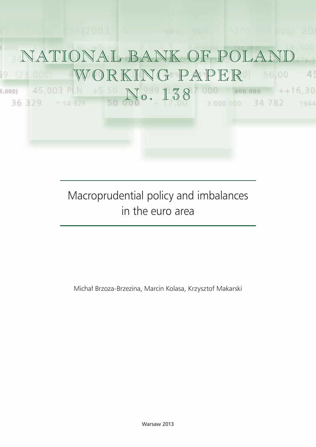

# Macroprudential policy and imbalances in the euro area

Michał Brzoza-Brzezina, Marcin Kolasa, Krzysztof Makarski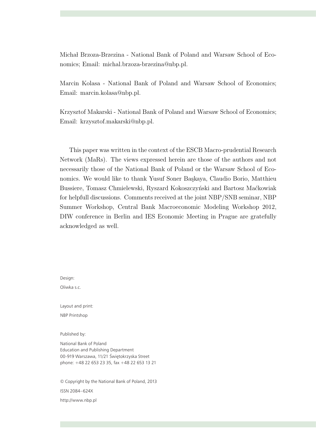Micha
l Brzoza-Brzezina - National Bank of Poland and Warsaw School of Economics; Email: michal.brzoza-brzezina@nbp.pl.

Marcin Kolasa - National Bank of Poland and Warsaw School of Economics; Email: marcin.kolasa@nbp.pl.

Krzysztof Makarski - National Bank of Poland and Warsaw School of Economics; Email: krzysztof.makarski@nbp.pl.

This paper was written in the context of the ESCB Macro-prudential Research Network (MaRs). The views expressed herein are those of the authors and not necessarily those of the National Bank of Poland or the Warsaw School of Economics. We would like to thank Yusuf Soner Başkaya, Claudio Borio, Matthieu Bussiere, Tomasz Chmielewski, Ryszard Kokoszczyński and Bartosz Maćkowiak for helpfull discussions. Comments received at the joint NBP/SNB seminar, NBP Summer Workshop, Central Bank Macroeconomic Modeling Workshop 2012, DIW conference in Berlin and IES Economic Meeting in Prague are gratefully acknowledged as well.

Design:

Oliwka s.c.

Layout and print:

NBP Printshop

Published by:

National Bank of Poland Education and Publishing Department 00-919 Warszawa, 11/21 Świętokrzyska Street phone: +48 22 653 23 35, fax +48 22 653 13 21

© Copyright by the National Bank of Poland, 2013 ISSN 2084–624X http://www.nbp.pl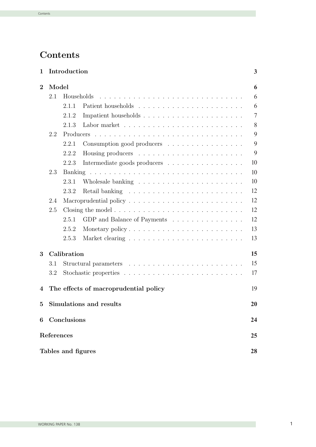# **Contents**

| $\mathbf 1$             |                     | Introduction       |                                                                                    | 3              |  |  |  |  |
|-------------------------|---------------------|--------------------|------------------------------------------------------------------------------------|----------------|--|--|--|--|
| $\overline{2}$          | Model               |                    |                                                                                    | 6              |  |  |  |  |
|                         | 2.1                 | Households         |                                                                                    | 6              |  |  |  |  |
|                         |                     | 2.1.1              |                                                                                    | 6              |  |  |  |  |
|                         |                     | 2.1.2              |                                                                                    | $\overline{7}$ |  |  |  |  |
|                         |                     | 2.1.3              |                                                                                    | 8              |  |  |  |  |
|                         | 2.2                 |                    |                                                                                    | 9              |  |  |  |  |
|                         |                     | 2.2.1              | Consumption good producers                                                         | 9              |  |  |  |  |
|                         |                     | 2.2.2              |                                                                                    | 9              |  |  |  |  |
|                         |                     | 2.2.3              | Intermediate goods producers                                                       | 10             |  |  |  |  |
|                         | 2.3                 |                    |                                                                                    | 10             |  |  |  |  |
|                         |                     | 2.3.1              |                                                                                    | 10             |  |  |  |  |
|                         |                     | 2.3.2              |                                                                                    | 12             |  |  |  |  |
|                         | 2.4                 |                    |                                                                                    | 12             |  |  |  |  |
|                         | 2.5                 |                    | Closing the model $\ldots \ldots \ldots \ldots \ldots \ldots \ldots \ldots \ldots$ | 12             |  |  |  |  |
|                         |                     | 2.5.1              | GDP and Balance of Payments                                                        | 12             |  |  |  |  |
|                         |                     | 2.5.2              |                                                                                    | 13             |  |  |  |  |
|                         |                     | 2.5.3              |                                                                                    | 13             |  |  |  |  |
| $\overline{\mathbf{3}}$ | Calibration         |                    |                                                                                    |                |  |  |  |  |
|                         | 3.1                 |                    |                                                                                    | 15             |  |  |  |  |
|                         | 3.2                 |                    |                                                                                    | 17             |  |  |  |  |
| 4                       |                     |                    | The effects of macroprudential policy                                              | 19             |  |  |  |  |
| 5                       |                     |                    | Simulations and results                                                            | 20             |  |  |  |  |
|                         | 6 Conclusions<br>24 |                    |                                                                                    |                |  |  |  |  |
|                         | References          |                    |                                                                                    | 25             |  |  |  |  |
|                         |                     | Tables and figures |                                                                                    | 28             |  |  |  |  |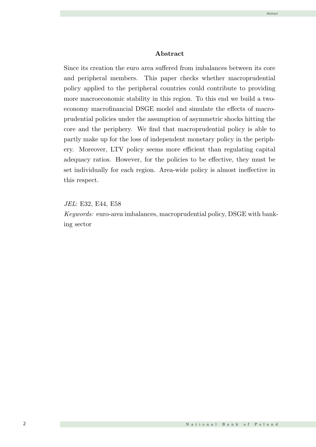#### Abstract

Since its creation the euro area suffered from imbalances between its core and peripheral members. This paper checks whether macroprudential policy applied to the peripheral countries could contribute to providing more macroeconomic stability in this region. To this end we build a twoeconomy macrofinancial DSGE model and simulate the effects of macroprudential policies under the assumption of asymmetric shocks hitting the core and the periphery. We find that macroprudential policy is able to partly make up for the loss of independent monetary policy in the periphery. Moreover, LTV policy seems more efficient than regulating capital adequacy ratios. However, for the policies to be effective, they must be set individually for each region. Area-wide policy is almost ineffective in this respect.

JEL: E32, E44, E58

Keywords: euro-area imbalances, macroprudential policy, DSGE with banking sector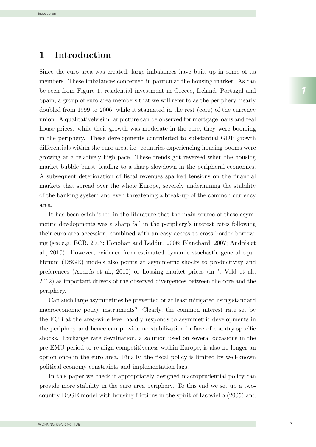### 1 Introduction

Since the euro area was created, large imbalances have built up in some of its members. These imbalances concerned in particular the housing market. As can be seen from Figure 1, residential investment in Greece, Ireland, Portugal and Spain, a group of euro area members that we will refer to as the periphery, nearly doubled from 1999 to 2006, while it stagnated in the rest (core) of the currency union. A qualitatively similar picture can be observed for mortgage loans and real house prices: while their growth was moderate in the core, they were booming in the periphery. These developments contributed to substantial GDP growth differentials within the euro area, i.e. countries experiencing housing booms were growing at a relatively high pace. These trends got reversed when the housing market bubble burst, leading to a sharp slowdown in the peripheral economies. A subsequent deterioration of fiscal revenues sparked tensions on the financial markets that spread over the whole Europe, severely undermining the stability of the banking system and even threatening a break-up of the common currency area.

It has been established in the literature that the main source of these asymmetric developments was a sharp fall in the periphery's interest rates following their euro area accession, combined with an easy access to cross-border borrowing (see e.g. ECB, 2003; Honohan and Leddin, 2006; Blanchard, 2007; Andrés et al., 2010). However, evidence from estimated dynamic stochastic general equilibrium (DSGE) models also points at asymmetric shocks to productivity and preferences (Andrés et al., 2010) or housing market prices (in 't Veld et al., 2012) as important drivers of the observed divergences between the core and the periphery.

Can such large asymmetries be prevented or at least mitigated using standard macroeconomic policy instruments? Clearly, the common interest rate set by the ECB at the area-wide level hardly responds to asymmetric developments in the periphery and hence can provide no stabilization in face of country-specific shocks. Exchange rate devaluation, a solution used on several occasions in the pre-EMU period to re-align competitiveness within Europe, is also no longer an option once in the euro area. Finally, the fiscal policy is limited by well-known political economy constraints and implementation lags.

In this paper we check if appropriately designed macroprudential policy can provide more stability in the euro area periphery. To this end we set up a twocountry DSGE model with housing frictions in the spirit of Iacoviello (2005) and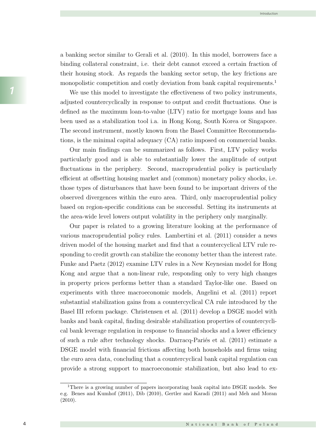a banking sector similar to Gerali et al. (2010). In this model, borrowers face a binding collateral constraint, i.e. their debt cannot exceed a certain fraction of their housing stock. As regards the banking sector setup, the key frictions are monopolistic competition and costly deviation from bank capital requirements.<sup>1</sup>

Introduction

We use this model to investigate the effectiveness of two policy instruments, adjusted countercyclically in response to output and credit fluctuations. One is defined as the maximum loan-to-value (LTV) ratio for mortgage loans and has been used as a stabilization tool i.a. in Hong Kong, South Korea or Singapore. The second instrument, mostly known from the Basel Committee Recommendations, is the minimal capital adequacy  $(CA)$  ratio imposed on commercial banks.

Our main findings can be summarized as follows. First, LTV policy works particularly good and is able to substantially lower the amplitude of output fluctuations in the periphery. Second, macroprudential policy is particularly efficient at offsetting housing market and (common) monetary policy shocks, i.e. those types of disturbances that have been found to be important drivers of the observed divergences within the euro area. Third, only macroprudential policy based on region-specific conditions can be successful. Setting its instruments at the area-wide level lowers output volatility in the periphery only marginally.

Our paper is related to a growing literature looking at the performance of various macroprudential policy rules. Lambertini et al. (2011) consider a news driven model of the housing market and find that a countercyclical LTV rule responding to credit growth can stabilize the economy better than the interest rate. Funke and Paetz (2012) examine LTV rules in a New Keynesian model for Hong Kong and argue that a non-linear rule, responding only to very high changes in property prices performs better than a standard Taylor-like one. Based on experiments with three macroeconomic models, Angelini et al. (2011) report substantial stabilization gains from a countercyclical CA rule introduced by the Basel III reform package. Christensen et al. (2011) develop a DSGE model with banks and bank capital, finding desirable stabilization properties of countercyclical bank leverage regulation in response to financial shocks and a lower efficiency of such a rule after technology shocks. Darracq-Pariés et al. (2011) estimate a DSGE model with financial frictions affecting both households and firms using the euro area data, concluding that a countercyclical bank capital regulation can provide a strong support to macroeconomic stabilization, but also lead to ex-

<sup>&</sup>lt;sup>1</sup>There is a growing number of papers incorporating bank capital into DSGE models. See e.g. De.<br>(2010). e.g. Benes and Kumhof (2011), Dib (2010), Gertler and Karadi (2011) and Meh and Moran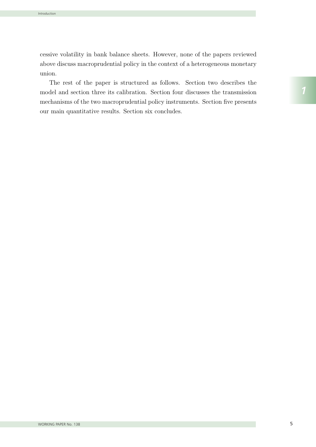cessive volatility in bank balance sheets. However, none of the papers reviewed above discuss macroprudential policy in the context of a heterogeneous monetary union.

The rest of the paper is structured as follows. Section two describes the model and section three its calibration. Section four discusses the transmission mechanisms of the two macroprudential policy instruments. Section five presents our main quantitative results. Section six concludes.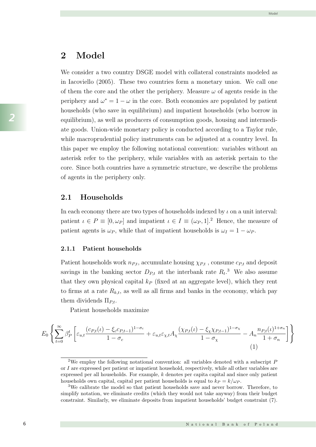### 2 Model

We consider a two country DSGE model with collateral constraints modeled as in Iacoviello (2005). These two countries form a monetary union. We call one of them the core and the other the periphery. Measure  $\omega$  of agents reside in the periphery and  $\omega^* = 1 - \omega$  in the core. Both economies are populated by patient households (who save in equilibrium) and impatient households (who borrow in equilibrium), as well as producers of consumption goods, housing and intermediate goods. Union-wide monetary policy is conducted according to a Taylor rule, while macroprudential policy instruments can be adjusted at a country level. In this paper we employ the following notational convention: variables without an asterisk refer to the periphery, while variables with an asterisk pertain to the core. Since both countries have a symmetric structure, we describe the problems of agents in the periphery only. periphery and which is the core. Both exploration in the core. Both exploration is the population of the core. Both exploration is the core. Both exploration of the core. The core population of the core population of the c this paper we employ the following intrational convention. Variables whilout an

### 2.1 Households refer to the periphery, which are periphery, which are periphery, which are periphery, which are periphery, which are periphery, which are periphery, which are periphery and the periphery of the periphery an

In each economy there are two types of households indexed by  $\iota$  on a unit interval: patient  $\iota \in P \equiv [0, \omega_P]$  and impatient  $\iota \in I \equiv (\omega_P, 1]^2$ . Hence, the measure of patient agents is  $\omega_P$ , while that of impatient households is  $\omega_I = 1 - \omega_P$ .

#### 2.1.1 Patient households  $\blacksquare$ In experimentation there are two types of  $\blacksquare$

Patient households work  $n_{P,t}$ , accumulate housing  $\chi_{P,t}$ , consume  $c_{P,t}$  and deposit savings in the banking sector  $D_{P,t}$  at the interbank rate  $R_t$ <sup>3</sup>. We also assume that they own physical capital  $k_P$  (fixed at an aggregate level), which they rent to firms at a rate  $R_{k,t}$ , as well as all firms and banks in the economy, which pay them dividends  $\Pi_{P,t}$ .  $\sum_{i=1}^{n}$ 

Patient households maximize

$$
E_0 \left\{ \sum_{t=0}^{\infty} \beta_P^t \left[ \varepsilon_{u,t} \frac{(c_{P,t}(\iota) - \xi_c c_{P,t-1})^{1-\sigma_c}}{1-\sigma_c} + \varepsilon_{u,t} \varepsilon_{\chi,t} A_{\chi} \frac{(\chi_{P,t}(\iota) - \xi_{\chi} \chi_{P,t-1})^{1-\sigma_{\chi}}}{1-\sigma_{\chi}} - A_n \frac{n_{P,t}(\iota)^{1+\sigma_n}}{1+\sigma_n} \right] \right\}
$$
(1)

simplify notation, we eliminate correct take any would not take any would not take any  $\mathcal{L}$  budgetted not take any would not take any would not take any would not take any would not take any would not take any would n

<sup>&</sup>lt;sup>2</sup>We employ the following notational convention: all variables denoted with a subscript  $P$  $\frac{1}{\sqrt{2}}$ expressed per all households. For example, k denotes per capita capital and since only patient<br>bouceholds grow equital senital per patient bouceholds is equal to  $k_1, \ldots, k_{\ell+1}$ or I are expressed per patient or impatient household, respectively, while all other variables are

households own capital, capital per patient households is equal to  $k_P = k/\omega_P$ .<br><sup>3</sup>We calibrate the model so that patient households save and never borrow. Therefore, to constraint. Similarly, we eliminate deposits from impatient households' budget constraint (7). simplify notation, we eliminate credits (which they would not take anyway) from their budget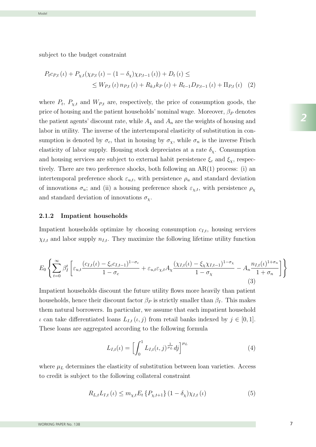subject to the budget constraint

$$
P_{t}c_{P,t}(\iota) + P_{\chi,t}(\chi_{P,t}(\iota) - (1 - \delta_{\chi})\chi_{P,t-1}(\iota)) + D_{t}(\iota) \le
$$
  
\$\leq W\_{P,t}(\iota) n\_{P,t}(\iota) + R\_{k,t}k\_{P}(\iota) + R\_{t-1}D\_{P,t-1}(\iota) + \Pi\_{P,t}(\iota)\$ (2)

where  $P_t$ ,  $P_{\chi,t}$  and  $W_{P,t}$  are, respectively, the price of consumption goods, the price of housing and the patient households' nominal wage. Moreover,  $\beta_P$  denotes the patient agents' discount rate, while  $A_\chi$  and  $A_n$  are the weights of housing and labor in utility. The inverse of the intertemporal elasticity of substitution in consumption is denoted by  $\sigma_c$ , that in housing by  $\sigma_x$ , while  $\sigma_n$  is the inverse Frisch elasticity of labor supply. Housing stock depreciates at a rate  $\delta_{\chi}$ . Consumption and housing services are subject to external habit persistence  $\xi_c$  and  $\xi_x$ , respectively. There are two preference shocks, both following an AR(1) process: (i) an intertemporal preference shock  $\varepsilon_{u,t}$ , with persistence  $\rho_u$  and standard deviation of innovations  $\sigma_u$ ; and (ii) a housing preference shock  $\varepsilon_{\chi,t}$ , with persistence  $\rho_{\chi}$ and standard deviation of innovations  $\sigma_{\chi}$ .

#### 2.1.2 Impatient households

Impatient households optimize by choosing consumption  $c_{I,t}$ , housing services  $\chi_{I,t}$  and labor supply  $n_{I,t}$ . They maximize the following lifetime utility function

$$
E_0 \left\{ \sum_{t=0}^{\infty} \beta_I^t \left[ \varepsilon_{u,t} \frac{(c_{I,t}(\iota) - \xi_c c_{I,t-1})^{1-\sigma_c}}{1-\sigma_c} + \varepsilon_{u,t} \varepsilon_{\chi,t} A_{\chi} \frac{(\chi_{I,t}(\iota) - \xi_{\chi} \chi_{I,t-1})^{1-\sigma_{\chi}}}{1-\sigma_{\chi}} - A_n \frac{n_{I,t}(\iota)^{1+\sigma_n}}{1+\sigma_n} \right] \right\}
$$
(3)

Impatient households discount the future utility flows more heavily than patient households, hence their discount factor  $\beta_P$  is strictly smaller than  $\beta_I$ . This makes them natural borrowers. In particular, we assume that each impatient household  $\iota$  can take differentiated loans  $L_{I,t}(\iota, j)$  from retail banks indexed by  $j \in [0, 1]$ . These loans are aggregated according to the following formula

$$
L_{I,t}(\iota) = \left[ \int_0^1 L_{I,t}(\iota, j)^{\frac{1}{\mu_L}} dj \right]^{\mu_L}
$$
 (4)

where  $\mu_L$  determines the elasticity of substitution between loan varieties. Access to credit is subject to the following collateral constraint

$$
R_{L,t}L_{I,t}\left(t\right) \leq m_{\chi,t}E_{t}\left\{P_{\chi,t+1}\right\}\left(1-\delta_{\chi}\right)\chi_{I,t}\left(t\right) \tag{5}
$$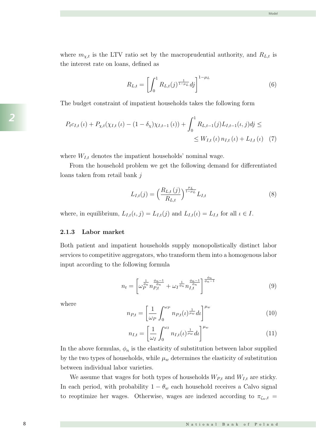where  $m_{\chi,t}$  is the LTV ratio set by the macroprudential authority, and  $R_{L,t}$  is the interest rate on loans, defined as

$$
R_{L,t} = \left[ \int_0^1 R_{L,t}(j)^{\frac{1}{1-\mu_L}} dj \right]^{1-\mu_L}
$$
 (6)

The budget constraint of impatient households takes the following form

$$
P_{t}c_{I,t}(t) + P_{\chi,t}(\chi_{I,t}(t) - (1 - \delta_{\chi})\chi_{I,t-1}(t)) + \int_{0}^{1} R_{L,t-1}(j)L_{I,t-1}(t,j)dj \le
$$
  
\$\leq W\_{I,t}(t) n\_{I,t}(t) + L\_{I,t}(t) (7)\$

where  $W_{I,t}$  denotes the impatient households' nominal wage.

From the household problem we get the following demand for differentiated loans taken from retail bank j

$$
L_{I,t}(j) = \left(\frac{R_{L,t}(j)}{R_{L,t}}\right)^{\frac{\mu_L}{1-\mu_L}} L_{I,t}
$$
\n(8)

where, in equilibrium,  $L_{I,t}(\iota, j) = L_{I,t}(j)$  and  $L_{I,t}(\iota) = L_{I,t}$  for all  $\iota \in I$ .

#### 2.1.3 Labor market

Both patient and impatient households supply monopolistically distinct labor services to competitive aggregators, who transform them into a homogenous labor input according to the following formula

$$
n_{t} = \left[\omega_{P}^{\frac{1}{\phi_{n}}} n_{P,t}^{\frac{\phi_{n}-1}{\phi_{n}}} + \omega_{I}^{\frac{1}{\phi_{n}}} n_{I,t}^{\frac{\phi_{n}-1}{\phi_{n}}} \right]^{\frac{\phi_{n}}{\phi_{n}-1}}
$$
(9)

where

$$
n_{P,t} = \left[\frac{1}{\omega_P} \int_0^{\omega_P} n_{P,t}(\iota)^{\frac{1}{\mu_w}} d\iota\right]^{\mu_w}
$$
 (10)

$$
n_{I,t} = \left[\frac{1}{\omega_I} \int_0^{\omega_I} n_{I,t}(\iota)^{\frac{1}{\mu_w}} d\iota\right]^{\mu_w} \tag{11}
$$

In the above formulas,  $\phi_n$  is the elasticity of substitution between labor supplied by the two types of households, while  $\mu_w$  determines the elasticity of substitution between individual labor varieties.

We assume that wages for both types of households  $W_{P,t}$  and  $W_{I,t}$  are sticky. In each period, with probability  $1 - \theta_w$  each household receives a Calvo signal to reoptimize her wages. Otherwise, wages are indexed according to  $\pi_{\zeta_w,t}$  =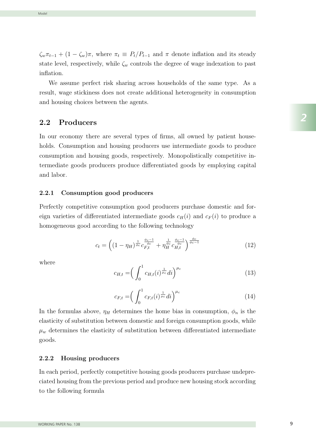$\zeta_w \pi_{t-1} + (1 - \zeta_w)\pi$ , where  $\pi_t \equiv P_t/P_{t-1}$  and  $\pi$  denote inflation and its steady state level, respectively, while  $\zeta_w$  controls the degree of wage indexation to past inflation. inflation.

We assume perfect risk sharing across households of the same type. As a We assume perfect risk sharing across households of the same type. As a result, wage stickiness does not create additional heterogeneity in consumption<br>and housing choices between the agents. and housing choices between the agents. and housing choices between the agents.

### 2.2 Producers 2.2 Producers

In our economy there are several types of firms, all owned by patient house-In our economy there are several types of firms, all owned by patient households. Consumption and housing producers use intermediate goods to produce holds. Consumption and housing producers use intermediate goods to produce consumption and housing goods, respectively. Monopolistically competitive intermediate goods producers produce differentiated goods by employing capital termediate goods producers produce differentiated goods by employing capital and labor. and labor.

#### 2.2.1 Consumption good producers 2.2.1 Consumption good producers 2.2.1 Consumption good producers

Perfectly competitive consumption good producers purchase domestic and for-Perfectly competitive consumption good producers purchase domestic and foreign varieties of differentiated intermediate goods  $c_H(i)$  and  $c_F(i)$  to produce a homogeneous good according to the following technology homogeneous good according to the following technology

$$
c_t = \left( (1 - \eta_H)^{\frac{1}{\phi_c}} c_{F,t}^{\frac{\phi_c - 1}{\phi_c}} + \eta_H^{\frac{1}{\phi_c}} c_{H,t}^{\frac{\phi_c - 1}{\phi_c}} \right)^{\frac{\phi_c}{\phi_c - 1}}
$$
(12)

where where

$$
c_{H,t} = \left(\int_0^1 c_{H,t}(i)^{\frac{1}{\mu_c}} di\right)^{\mu_c}
$$
 (13)

$$
c_{F,t} = \left(\int_0^1 c_{F,t}(i)^{\frac{1}{\mu_c}} di\right)^{\mu_c}
$$
 (14)

In the formulas above,  $\eta_H$  determines the home bias in consumption,  $\phi_n$  is the elasticity of substitution between domestic and foreign consumption goods, while  $\mu_w$  determines the elasticity of substitution between differentiated intermediate goods.

#### 2.2.2 Housing producers

In each period, perfectly competitive housing goods producers purchase undepreciated housing from the previous period and produce new housing stock according to the following formula

*2*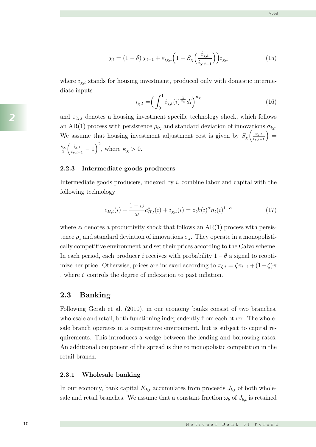$$
\chi_t = (1 - \delta) \chi_{t-1} + \varepsilon_{i\chi,t} \left( 1 - S_\chi \left( \frac{i_{\chi,t}}{i_{\chi,t-1}} \right) \right) i_{\chi,t} \tag{15}
$$

where  $i_{\text{c}}$  stands for housing investment, produced only with domestic interme- $\lambda$ <sup>to</sup>  $\ell$ <sup>1</sup> where  $i_{\chi,t}$  stands for housing investment, produced only with domestic intermediate inputs diate inputs

$$
i_{\chi,t} = \left(\int_0^1 i_{\chi,t}(i)^{\frac{1}{\mu_\chi}} di\right)^{\mu_\chi} \tag{16}
$$

and  $\epsilon$  denotes a housing investment specific technology shock, which follows  $\alpha$ <sup>2</sup> We assume that housing investment adjustment cost is given by  $S_{\gamma}\left(\frac{i_{\chi,t}}{i_{\chi,t}}\right)$ an AR(1) process with persistence  $\rho_{i\chi}$  and standard deviation of innovations  $\sigma_{i\chi}$ .  $\frac{c_2}{2}$  $\frac{\kappa_{\chi}}{2} \left( \frac{i_{\chi,t}}{\chi} - 1 \right)^2$ , where  $\kappa_{\chi} > 0$ . We assume that housing investment adjustment cost is given by  $S_{\chi} \left( \frac{i_{\chi,t}}{i_{\chi,t-1}} \right)$ and  $\varepsilon_{i\chi,t}$  denotes a housing investment specific technology shock, which follows  $i_{\chi,t-1}$ We assume that housing investment adjustment cost is given by  $S_{\chi}(\frac{i_{\chi,t}}{i_{\chi,t-1}})$  $\overline{\phantom{a}}$  $\frac{\kappa_{\chi}}{2} \left( \frac{i_{\chi,t}}{i_{\chi,t-1}} - 1 \right)^2$ , where  $\kappa_{\chi} > 0$ .  $i_{\chi,t-1}$  $\Big)$  = 2  $\left(\frac{i_{\chi,t}}{i_{\chi,t-1}}-1\right)^2$ , where  $\kappa_{\chi}>0$ .

#### 2.2.3 Intermediate goods producers 2.2.3 Intermediate goods producers 2.2.3 Intermediate goods producers

Intermediate goods producers, indexed by i, combine labor and capital with the Intermediate goods producers, indexed by  $i$ , combine labor and capital with the following technology following technology

$$
c_{H,t}(i) + \frac{1 - \omega}{\omega} c_{H,t}^*(i) + i_{\chi,t}(i) = z_t k(i)^{\alpha} n_t(i)^{1 - \alpha}
$$
 (17)

where  $\mathbf{z}$  is denoted a problem and follows and persistential problem and persistential process with persiswhere  $z_t$  denotes a productivity shock that follows an AR(1) process with persistence  $\rho_z$  and standard deviation of innovations  $\sigma_z$ . They operate in a monopolisti-In each period, each producer i receives with probability 1 − θ a signal to reoptimize her price. Otherwise, prices are indexed according to  $\pi = (\pi + (1-\zeta)\pi)$ mize her price. Otherwise, prices are indexed according to  $\pi_{\zeta,t} = \zeta \pi_{t-1} + (1-\zeta)\pi$ cally competitive environment and set their prices according to the Calvo scheme. cally competitive environment and set their prices according to the Calvo scheme. In each period, each producer i receives with probability  $1 - \theta$  a signal to reopti-, where  $\zeta$  controls the degree of indexation to past inflation.

#### 2.3 Banking

Following Gerali et al. (2010), in our economy banks consist of two branches, wholesale and retail, both functioning independently from each other. The wholesale branch operates in a competitive environment, but is subject to capital requirements. This introduces a wedge between the lending and borrowing rates. An additional component of the spread is due to monopolistic competition in the retail branch.

#### 2.3.1 Wholesale banking

In our economy, bank capital  $K_{b,t}$  accumulates from proceeds  $J_{b,t}$  of both wholesale and retail branches. We assume that a constant fraction  $\omega_b$  of  $J_{b,t}$  is retained

Mode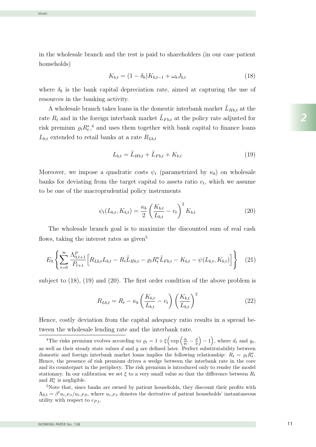in the wholesale branch and the rest is paid to shareholders (in our case patient households)  $\mu$  retail, both functioning independently functioning independently from each other. The whole- $\mu$ 

$$
K_{b,t} = (1 - \delta_b)K_{b,t-1} + \omega_b J_{b,t}
$$
\n(18)

where  $\delta_k$  is the bank capital depreciation rate, aimed at capturing the use of resources in the banking activity. resources in the banking activity. resources in the banking activity.  $\begin{array}{c} \bullet \end{array}$  and the spread is due to monopolistic competition in the spread is due to monopolistic competition in the spread is due to monopolistic competition in the spread is due to monopolistic competition in the where  $\delta_b$  is the bank capital depreciation rate, aimed at capturing the use of E<sup>0</sup> where  $\delta_b$  is the bank capital depreciation rate, aimed at capturing the use of

A wholesale branch takes loans in the domestic interbank market  $\tilde{L}_{Hb,t}$  at the rate  $R_t$  and in the foreign interbank market  $\tilde{L}_{F}$ , at the policy rate adjusted for rate  $R_t$  and in the foreign interbank market  $L_{Fb,t}$  at the policy rate adjusted for risk premium  $\varrho_t R_t^*$ <sup>4</sup> and uses them together with bank capital to finance loans  $L_{b,t}$  extended to retail banks at a rate  $R_{Lb,t}$ rate  $R_t$  and in the foreign interbank market  $\tilde{L}_{F_{b,t}}$  at the policy rate adjusted for risk premium  $\rho_t R_t^*$ <sup>4</sup>, and uses them together with bank capital to finance loans

$$
L_{b,t} = \tilde{L}_{Hb,t} + \tilde{L}_{Fb,t} + K_{b,t}
$$
\n(19)

Moreover, we impose a quadratic costs  $\psi_t$  (parametrized by  $\kappa_b$ ) on wholesale banks for deviating from the target capital to assets ratio  $v_t$ , which we assume to be one of the macroprudential policy instruments Moreover, we impose a quadratic costs  $\psi_t$  (parametrized by  $\kappa_b$ ) on wholesale

$$
\psi_t(L_{b,t}, K_{b,t}) = \frac{\kappa_b}{2} \left( \frac{K_{b,t}}{L_{b,t}} - v_t \right)^2 K_{b,t}
$$
\n(20)

The wholesale branch goal is to maximize the discounted sum of real cash flows, taking the interest rates as given<sup>5</sup> flows, taking the interest rates as given<sup>5</sup>

$$
E_0 \left\{ \sum_{t=0}^{\infty} \frac{\Lambda_{0,t+1}^P}{P_{t+1}} \Big[ R_{Lb,t} L_{b,t} - R_t \tilde{L}_{Hb,t} - \varrho_t R_t^* \tilde{L}_{Fb,t} - K_{b,t} - \psi(L_{b,t}, K_{b,t}) \Big] \right\}
$$
 (21)  
subject to (18), (19) and (20). The first order condition of the above problem is

subject to  $(18)$ ,  $(19)$  and  $(20)$ . The first order condition of the above problem is subject to  $(18)$ ,  $($ RL,t = µLRLb,t (24)  $s$  stationary. In our calibration we set  $\mathcal{S}$  to a very small value so that the difference between Rt  $\mathcal{S}$ 

$$
R_{Lb,t} = R_t - \kappa_b \left(\frac{K_{b,t}}{L_{b,t}} - v_t\right) \left(\frac{K_{b,t}}{L_{b,t}}\right)^2
$$
 (22)

tween the wholesale lending rate and the interbank rate. Hence, costly deviation from the capital adequacy ratio results in a spread be-<br>Hence, costly deviation from the capital adequacy ratio results in a spread be- $R_{Lb,t} = R_t - \kappa_b \left( \frac{P_t}{L_{b,t}} - v_t \right) \left( \frac{P_t}{L_{b,t}} \right)$  (22)<br>Hence, costly deviation from the capital adequacy ratio results in a spread be-<br>tween the wholesale lending rate and the interbank rate.

<sup>&</sup>lt;sup>4</sup>The risks premium evolves according to  $\rho_t = 1 + \xi \left( \exp \left( \frac{d_t}{y_t} - \frac{d_t}{y_t} \right) \right)$ <sup>2</sup> wholes the ending rate and the interval state.<br>
sks premium evolves according to  $\rho_t = 1 + \xi \left( \exp \left( \frac{d_t}{y_t} - \frac{d}{y} \right) - 1 \right)$ , where  $d_t$  and  $y_t$ , as well as their steady state values  $d$  and  $y$  are defined later. Perfect substitutability between domestic and foreign interbank market loans implies the following relationship:  $R_t = \rho_t R_t^*$ . Hence, the presence of risk premium drives a wedge between the interbank rate in the core Hence, the presence of risk premium drives a wedge between the interbank rate in the core<br>and its counterpart in the periphery. The risk premium is introduced only to render the model<br>stationary. In our calibration we set stationary. In our calibration we set  $\xi$  to a very small value so that the difference between  $R_t$ and  $R_t^*$  is negligible. Hence, the presence of risk premium drives a wedge between the interbank rate in the core<br>and its counterpart in the periphery. The risk premium is introduced only to render the model<br>stationary. In our calibration we set

<sup>&</sup>lt;sup>5</sup>Note that, since banks are owned by patient households, they discount their profits with  $\frac{1}{\sqrt{t}}$ ,  $\frac{1}{\sqrt{t}}$ ,  $\frac{1}{\sqrt{t}}$  where  $\frac{1}{\sqrt{t}}$  of contract the derivative of patient households' instantaneous  $\Lambda_{0,t} = \beta^t u_{c,P,t}/u_{c,P,0}$ , where  $u_{c,P,t}$  denotes the derivative of patient households' instantaneous utility with respect to  $c_{P,t}$ .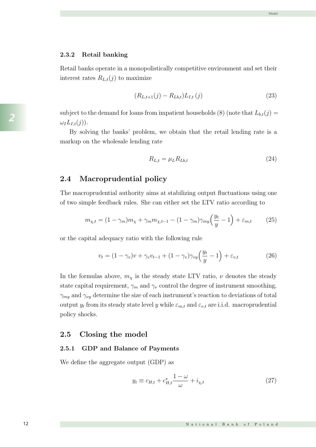#### 2.3.2 Retail banking

Retail banks operate in a monopolistically competitive environment and set their interest rates  $R_{L,t}(j)$  to maximize

$$
(R_{L,t+1}(j) - R_{Lb,t})L_{I,t}(j)
$$
\n(23)

subject to the demand for loans from impatient households (8) (note that  $L_{b,t}(j)$  =  $\omega_I L_{I,t}(j)$ ).

By solving the banks' problem, we obtain that the retail lending rate is a markup on the wholesale lending rate

$$
R_{L,t} = \mu_L R_{Lb,t} \tag{24}
$$

#### 2.4 Macroprudential policy

The macroprudential authority aims at stabilizing output fluctuations using one of two simple feedback rules. She can either set the LTV ratio according to

$$
m_{\chi,t} = (1 - \gamma_m)m_{\chi} + \gamma_m m_{\chi,t-1} - (1 - \gamma_m)\gamma_{my}\left(\frac{y_t}{y} - 1\right) + \varepsilon_{m,t} \tag{25}
$$

or the capital adequacy ratio with the following rule

$$
v_t = (1 - \gamma_v)v + \gamma_v v_{t-1} + (1 - \gamma_v)\gamma_{vy}\left(\frac{y_t}{y} - 1\right) + \varepsilon_{v,t}
$$
\n(26)

In the formulas above,  $m_{\chi}$  is the steady state LTV ratio,  $\nu$  denotes the steady state capital requirement,  $\gamma_m$  and  $\gamma_\nu$  control the degree of instrument smoothing,  $\gamma_{my}$  and  $\gamma_{vy}$  determine the size of each instrument's reaction to deviations of total output  $y_t$  from its steady state level y while  $\varepsilon_{m,t}$  and  $\varepsilon_{v,t}$  are i.i.d. macroprudential policy shocks. <sup>5</sup>Note that, since banks are owned by patient households, they discount their profits with In the formulas above,  $m_{\chi}$  is the steady state LTV ratio,  $\nu$  denotes the steady

#### 2.5 Closing the model

#### 2.5.1 GDP and Balance of Payments

We define the aggregate output (GDP) as

$$
y_t \equiv c_{H,t} + c_{H,t}^* \frac{1 - \omega}{\omega} + i_{\chi,t} \tag{27}
$$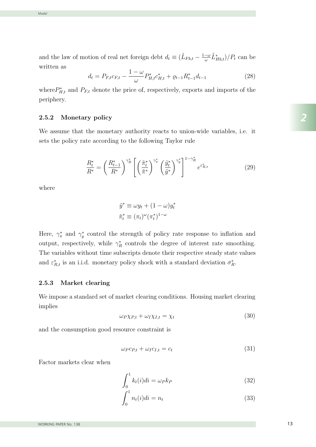and the law of motion of real net foreign debt  $d_t \equiv (\tilde{L}_{Fb,t} - \frac{1-\omega}{\omega} \tilde{L}_{Hb,t}^*)/P_t$  can be<br>written as written as written as

$$
d_t = P_{F,t}c_{F,t} - \frac{1 - \omega}{\omega} P_{H,t}^* c_{H,t}^* + \varrho_{t-1} R_{t-1}^* d_{t-1}
$$
\n(28)

where  $P_{H,t}^*$  and  $P_{F,t}$  denote the price of, respectively, exports and imports of the periphery. where  $H_t$  and P $_{r,t}$  denote the price of, respectively, exports and imports of the periphery.

#### 2.5.2 Monetary policy  $2.5.2$  monetary policy

We assume that the monetary authority reacts to union-wide variables, i.e. it sets the policy rate according to the following Taylor rule we assume that the monetary authority reacts to union-wide variables, i.e. it sets the policy rate according to the following Taylor rule

$$
\frac{R_t^*}{R^*} = \left(\frac{R_{t-1}^*}{R^*}\right)^{\gamma_R^*} \left[\left(\frac{\tilde{\pi}_t^*}{\tilde{\pi}^*}\right)^{\gamma_{\pi}^*} \left(\frac{\tilde{y}_t^*}{\tilde{y}^*}\right)^{\gamma_y^*}\right]^{1-\gamma_R^*} e^{\varepsilon_{R,t}^*} \tag{29}
$$

 $\mathbf{u}$ where

$$
\tilde{y}^* \equiv \omega y_t + (1 - \omega) y_t^*
$$
  

$$
\tilde{\pi}_t^* \equiv (\pi_t)^{\omega} (\pi_t^*)^{1-\omega}
$$

Here,  $\gamma^*$  and  $\gamma^*$  control the strength of policy rate response to inflation and output, respectively, while  $\gamma_R^*$  controls the degree of interest rate smoothing.  $T$  variables with subscripts denote the subscripts denote the subscripts denote the state values of  $\sim$ and  $\varepsilon_{R,t}^*$  is an i.i.d. monetary policy shock with a standard deviation  $\sigma_R^*$ . The variables without time subscripts denote their respective steady state values

#### 2.5.3 Market clearing

We impose a standard set of market clearing conditions. Housing market clearing implies

$$
\omega_P \chi_{P,t} + \omega_I \chi_{I,t} = \chi_t \tag{30}
$$

and the consumption good resource constraint is

$$
\omega_P c_{P,t} + \omega_I c_{I,t} = c_t \tag{31}
$$

Factor markets clear when

$$
\int_0^1 k_t(i)di = \omega_P k_P \tag{32}
$$

$$
\int_0^1 n_t(i)di = n_t \tag{33}
$$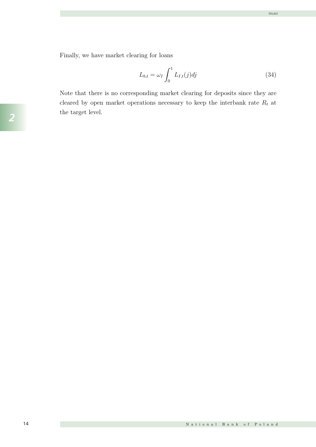Finally, we have market clearing for loans

$$
L_{b,t} = \omega_I \int_0^1 L_{I,t}(j)dj \qquad (34)
$$

Note that there is no corresponding market clearing for deposits since they are cleared by open market operations necessary to keep the interbank rate  $R_t$  at the target level.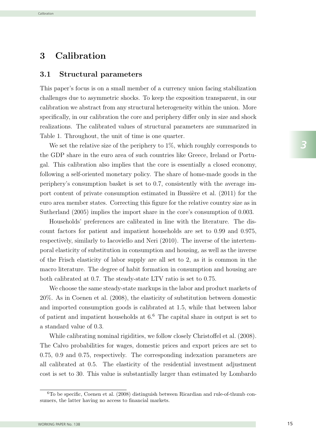### 3 Calibration

#### 3.1 Structural parameters

This paper's focus is on a small member of a currency union facing stabilization challenges due to asymmetric shocks. To keep the exposition transparent, in our calibration we abstract from any structural heterogeneity within the union. More specifically, in our calibration the core and periphery differ only in size and shock realizations. The calibrated values of structural parameters are summarized in Table 1. Throughout, the unit of time is one quarter.  $\overline{3}$ 

We set the relative size of the periphery to  $1\%$ , which roughly corresponds to the GDP share in the euro area of such countries like Greece, Ireland or Portugal. This calibration also implies that the core is essentially a closed economy, following a self-oriented monetary policy. The share of home-made goods in the periphery's consumption basket is set to 0.7, consistently with the average import content of private consumption estimated in Bussière et al. (2011) for the euro area member states. Correcting this figure for the relative country size as in Sutherland (2005) implies the import share in the core's consumption of 0.003.

Households' preferences are calibrated in line with the literature. The discount factors for patient and impatient households are set to 0.99 and 0.975, respectively, similarly to Iacoviello and Neri (2010). The inverse of the intertemporal elasticity of substitution in consumption and housing, as well as the inverse of the Frisch elasticity of labor supply are all set to 2, as it is common in the macro literature. The degree of habit formation in consumption and housing are both calibrated at 0.7. The steady-state LTV ratio is set to 0.75.

We choose the same steady-state markups in the labor and product markets of  $20\%$ . As in Coenen et al.  $(2008)$ , the elasticity of substitution between domestic and imported consumption goods is calibrated at 1.5, while that between labor of patient and impatient households at  $6<sup>6</sup>$ . The capital share in output is set to a standard value of  $0.3$ .

While calibrating nominal rigidities, we follow closely Christoffel et al. (2008). The Calvo probabilities for wages, domestic prices and export prices are set to  $0.75, 0.9$  and  $0.75$ , respectively. The corresponding indexation parameters are all calibrated at 0.5. The elasticity of the residential investment adjustment cost is set to 30. This value is substantially larger than estimated by Lombardo

 $\overline{6T}$  be specific, Coenen et al. (2008) distinguish between Ricardian and rule-of-thumb consumers, the latter having no access to financial markets.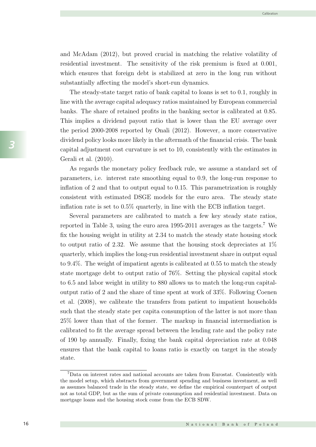and McAdam (2012), but proved crucial in matching the relative volatility of residential investment. The sensitivity of the risk premium is fixed at 0.001, which ensures that foreign debt is stabilized at zero in the long run without substantially affecting the model's short-run dynamics. and McAdam (2012), but proved contained contained contained contained contained contained volume volume volume volume volume volume volume volume volume volume volume volume volume volume volume volume volume volume volume residential investment. The sensitivity of the risk premium is fixed at 0.001, the risk premium is fixed at 0.001, the risk present

The steady-state target ratio of bank capital to loans is set to 0.1, roughly in line with the average capital adequacy ratios maintained by European commercial banks. The share of retained profits in the banking sector is calibrated at  $0.85$ . This implies a dividend payout ratio that is lower than the EU average over the period 2000-2008 reported by Onali (2012). However, a more conservative dividend policy looks more likely in the aftermath of the financial crisis. The bank<br> capital adjustment cost curvature is set to 10, consistently with the estimates in  $\tilde{C}$ Gerali et al. (2010). cost curvature is set to  $(2010)$ .

As regards the monetary policy feedback rule, we assume a standard set of parameters, i.e. interest rate smoothing equal to 0.9, the long-run response to inflation of 2 and that to output equal to 0.15. This parametrization is roughly consistent with estimated DSGE models for the euro area. The steady state  $\frac{1}{2}$ inflation rate is set to  $0.5\%$  quarterly, in line with the ECB inflation target.  $\frac{1}{10}$  regards the 1  $\frac{A}{2}$  regards the monetary policy feedback rule, we assume a standard set of  $\frac{A}{2}$  standard set of  $\frac{A}{2}$ 

Several parameters are calibrated to match a few key steady state ratios, reported in Table 3, using the euro area  $1995-2011$  averages as the targets.<sup>7</sup> We fix the housing weight in utility at 2.34 to match the steady state housing stock to output ratio of 2.32. We assume that the housing stock depreciates at  $1\%$ quarterly, which implies the long-run residential investment share in output equal  $\alpha$ . to 9.4%. The weight of impatient agents is calibrated at  $0.55$  to match the steady state mortgage debt to output ratio of 76%. Setting the physical capital stock to 6.5 and labor weight in utility to 880 allows us to match the long-run capitaloutput ratio of 2 and the share of time spent at work of 33%. Following Coenen et al. (2008), we calibrate the transfers from patient to impatient households such that the steady state per capita consumption of the latter is not more than  $\sim$ 25% lower than that of the former. The markup in financial intermediation is calibrated to fit the average spread between the lending rate and the policy rate of 190 bp annually. Finally, fixing the bank capital depreciation rate at 0.048 ensures that the bank capital to loans ratio is exactly on target in the steady  $\overline{\text{C}}$ state.

the model setup, which abstracts from government spending and business investment, as well

<sup>&</sup>lt;sup>7</sup>Data on interest rates and national accounts are taken from Eurostat. Consistently with Data on interest rates and national accounts are taken non-Eurostat. Consistently with<br>the model setup, which abstracts from government spending and business investment, as well as assumes balanced trade in the steady state, we define the empirical counterpart of output not as total GDP, but as the sum of private consumption and residential investment. Data on mortgage loans and the housing stock come from the ECB SDW.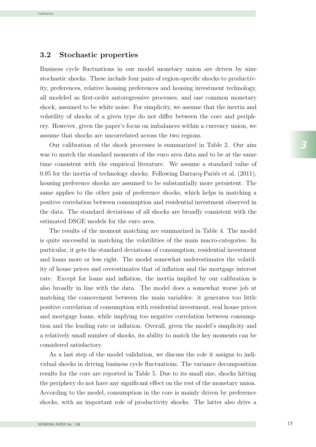#### 3.2 Stochastic properties

Business cycle fluctuations in our model monetary union are driven by nine stochastic shocks. These include four pairs of region-specific shocks to productivity, preferences, relative housing preferences and housing investment technology, all modeled as first-order autoregressive processes, and one common monetary shock, assumed to be white noise. For simplicity, we assume that the inertia and volatility of shocks of a given type do not differ between the core and periphery. However, given the paper's focus on imbalances within a currency union, we assume that shocks are uncorrelated across the two regions.

Our calibration of the shock processes is summarized in Table 2. Our aim was to match the standard moments of the euro area data and to be at the same time consistent with the empirical literature. We assume a standard value of 0.95 for the inertia of technology shocks. Following Darracq-Pariés et al.  $(2011)$ , housing preference shocks are assumed to be substantially more persistent. The same applies to the other pair of preference shocks, which helps in matching a positive correlation between consumption and residential investment observed in the data. The standard deviations of all shocks are broadly consistent with the estimated DSGE models for the euro area.

The results of the moment matching are summarized in Table 4. The model is quite successful in matching the volatilities of the main macro-categories. In particular, it gets the standard deviations of consumption, residential investment and loans more or less right. The model somewhat underestimates the volatility of house prices and overestimates that of inflation and the mortgage interest rate. Except for loans and inflation, the inertia implied by our calibration is also broadly in line with the data. The model does a somewhat worse job at matching the comovement between the main variables: it generates too little positive correlation of consumption with residential investment, real house prices and mortgage loans, while implying too negative correlation between consumption and the lending rate or inflation. Overall, given the model's simplicity and a relatively small number of shocks, its ability to match the key moments can be considered satisfactory.

As a last step of the model validation, we discuss the role it assigns to individual shocks in driving business cycle fluctuations. The variance decomposition According to the model, consumption in the core is mainly driven by preference results for the core are reported in Table 5. Due to its small size, shocks hitting the periphery do not have any significant effect on the rest of the monetary union. shocks, with an important role of productivity shocks. The latter also drive a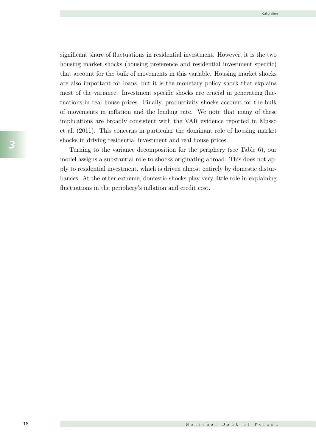significant share of fluctuations in residential investment. However, it is the two housing market shocks (housing preference and residential investment specific) that account for the bulk of movements in this variable. Housing market shocks are also important for loans, but it is the monetary policy shock that explains most of the variance. Investment specific shocks are crucial in generating fluctuations in real house prices. Finally, productivity shocks account for the bulk of movements in inflation and the lending rate. We note that many of these implications are broadly consistent with the VAR evidence reported in Musso et al. (2011). This concerns in particular the dominant role of housing market shocks in driving residential investment and real house prices.

Turning to the variance decomposition for the periphery (see Table 6), our model assigns a substantial role to shocks originating abroad. This does not apply to residential investment, which is driven almost entirely by domestic disturbances. At the other extreme, domestic shocks play very little role in explaining fluctuations in the periphery's inflation and credit cost.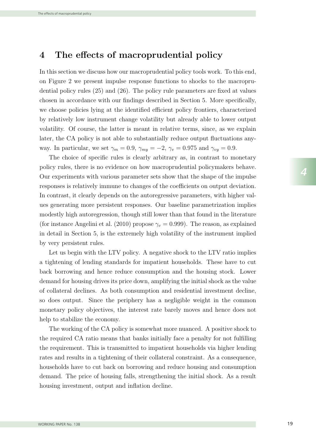### 4 The effects of macroprudential policy

In this section we discuss how our macroprudential policy tools work. To this end, on Figure 2 we present impulse response functions to shocks to the macroprudential policy rules (25) and (26). The policy rule parameters are fixed at values chosen in accordance with our findings described in Section 5. More specifically, we choose policies lying at the identified efficient policy frontiers, characterized by relatively low instrument change volatility but already able to lower output volatility. Of course, the latter is meant in relative terms, since, as we explain later, the CA policy is not able to substantially reduce output fluctuations anyway. In particular, we set  $\gamma_m = 0.9$ ,  $\gamma_{my} = -2$ ,  $\gamma_v = 0.975$  and  $\gamma_{vy} = 0.9$ .

The choice of specific rules is clearly arbitrary as, in contrast to monetary policy rules, there is no evidence on how macroprudential policymakers behave. Our experiments with various parameter sets show that the shape of the impulse responses is relatively immune to changes of the coefficients on output deviation. In contrast, it clearly depends on the autoregressive parameters, with higher values generating more persistent responses. Our baseline parametrization implies modestly high autoregression, though still lower than that found in the literature (for instance Angelini et al. (2010) propose  $\gamma_v = 0.999$ ). The reason, as explained in detail in Section 5, is the extremely high volatility of the instrument implied by very persistent rules.

Let us begin with the LTV policy. A negative shock to the LTV ratio implies a tightening of lending standards for impatient households. These have to cut back borrowing and hence reduce consumption and the housing stock. Lower demand for housing drives its price down, amplifying the initial shock as the value of collateral declines. As both consumption and residential investment decline, so does output. Since the periphery has a negligible weight in the common monetary policy objectives, the interest rate barely moves and hence does not help to stabilize the economy.

The working of the CA policy is somewhat more nuanced. A positive shock to the required CA ratio means that banks initially face a penalty for not fulfilling the requirement. This is transmitted to impatient households via higher lending rates and results in a tightening of their collateral constraint. As a consequence, households have to cut back on borrowing and reduce housing and consumption demand. The price of housing falls, strengthening the initial shock. As a result housing investment, output and inflation decline.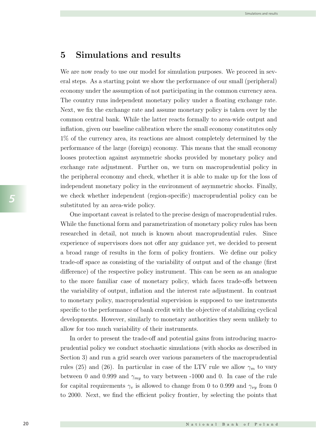### 5 Simulations and results

We are now ready to use our model for simulation purposes. We proceed in several steps. As a starting point we show the performance of our small (peripheral) economy under the assumption of not participating in the common currency area. The country runs independent monetary policy under a floating exchange rate. Next, we fix the exchange rate and assume monetary policy is taken over by the common central bank. While the latter reacts formally to area-wide output and inflation, given our baseline calibration where the small economy constitutes only 1% of the currency area, its reactions are almost completely determined by the performance of the large (foreign) economy. This means that the small economy looses protection against asymmetric shocks provided by monetary policy and exchange rate adjustment. Further on, we turn on macroprudential policy in the peripheral economy and check, whether it is able to make up for the loss of independent monetary policy in the environment of asymmetric shocks. Finally, we check whether independent (region-specific) macroprudential policy can be substituted by an area-wide policy.

One important caveat is related to the precise design of macroprudential rules. While the functional form and parametrization of monetary policy rules has been researched in detail, not much is known about macroprudential rules. Since experience of supervisors does not offer any guidance yet, we decided to present a broad range of results in the form of policy frontiers. We define our policy trade-off space as consisting of the variability of output and of the change (first difference) of the respective policy instrument. This can be seen as an analogue to the more familiar case of monetary policy, which faces trade-offs between the variability of output, inflation and the interest rate adjustment. In contrast to monetary policy, macroprudential supervision is supposed to use instruments specific to the performance of bank credit with the objective of stabilizing cyclical developments. However, similarly to monetary authorities they seem unlikely to allow for too much variability of their instruments.

In order to present the trade-off and potential gains from introducing macroprudential policy we conduct stochastic simulations (with shocks as described in Section 3) and run a grid search over various parameters of the macroprudential rules (25) and (26). In particular in case of the LTV rule we allow  $\gamma_m$  to vary between 0 and 0.999 and  $\gamma_{my}$  to vary between -1000 and 0. In case of the rule for capital requirements  $\gamma_v$  is allowed to change from 0 to 0.999 and  $\gamma_{\nu_y}$  from 0 to 2000. Next, we find the efficient policy frontier, by selecting the points that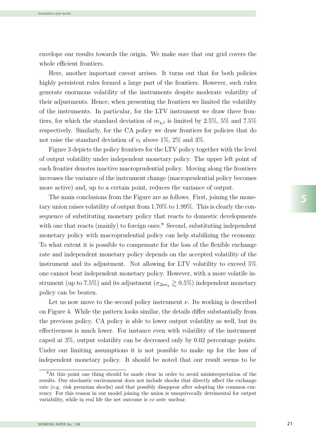envelope our results towards the origin. We make sure that our grid covers the whole efficient frontiers. whole efficient frontiers.

Here, another important caveat arrises. It turns out that for both policies highly persistent rules formed a large part of the frontiers. However, such rules generate enormous volatility of the instruments despite moderate volatility of their adjustments. Hence, when presenting the frontiers we limited the volatility of the instruments. In particular, for the LTV instrument we draw three frontiers, for which the standard deviation of  $m_{\chi,t}$  is limited by 2.5%, 5% and 7.5% respectively. Similarly, for the CA policy we draw frontiers for policies that do not raise the standard deviation of  $v_t$  above 1%, 2% and 3%.

Figure 3 depicts the policy frontiers for the LTV policy together with the level of output volatility under independent monetary policy. The upper left point of each frontier denotes inactive macroprudential policy. Moving along the frontiers increases the variance of the instrument change (macroprudential policy becomes more active) and, up to a certain point, reduces the variance of output.

The main conclusions from the Figure are as follows. First, joining the monetary union raises volatility of output from  $1.70\%$  to  $1.99\%$ . This is clearly the consequence of substituting monetary policy that reacts to domestic developments with one that reacts (mainly) to foreign ones.<sup>8</sup> Second, substituting independent monetary policy with macroprudential policy can help stabilizing the economy. To what extent it is possible to compensate for the loss of the flexible exchange rate and independent monetary policy depends on the accepted volatility of the instrument and its adjustment. Not allowing for LTV volatility to exceed  $5\%$ one cannot beat independent monetary policy. However, with a more volatile instrument (up to 7.5%) and its adjustment ( $\sigma_{\Delta m_{\chi}} \gtrsim 0.5\%$ ) independent monetary policy can be beat en.

Let us now move to the second policy instrument  $\nu$ . Its working is described on Figure 4. While the pattern looks similar, the details differ substantially from the previous policy. CA policy is able to lower output volatility as well, but its effectiveness is much lower. For instance even with volatility of the instrument caped at  $3\%$ , output volatility can be decreased only by  $0.02$  percentage points. Under our limiting assumptions it is not possible to make up for the loss of independent monetary policy. It should be noted that our result seems to be rate (e.g. risk premium shocks) and that possibly disappear after adopting the common cur-

<sup>&</sup>lt;sup>8</sup>At this point one thing should be made clear in order to avoid misinterpretation of the results. Our stochastic environment does not include shocks that directly affect the exchange variability, while in real life the net outcome is  $ex$  ante unclear. rate (e.g. risk premium shocks) and that possibly disappear after adopting the common currency. For this reason in our model joining the union is unequivocally detrimental for output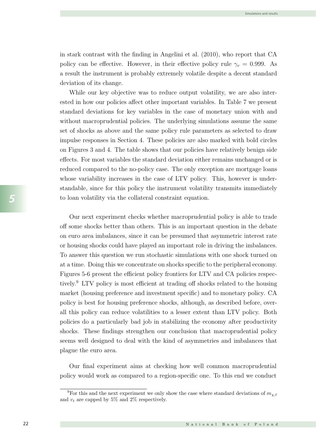in stark contrast with the finding in Angelini et al. (2010), who report that CA policy can be effective. However, in their effective policy rule  $\gamma_v = 0.999$ . As a result the instrument is probably extremely volatile despite a decent standard deviation of its change.

While our key objective was to reduce output volatility, we are also interested in how our policies affect other important variables. In Table 7 we present standard deviations for key variables in the case of monetary union with and without macroprudential policies. The underlying simulations assume the same set of shocks as above and the same policy rule parameters as selected to draw impulse responses in Section 4. These policies are also marked with bold circles on Figures 3 and 4. The table shows that our policies have relatively benign side effects. For most variables the standard deviation either remains unchanged or is reduced compared to the no-policy case. The only exception are mortgage loans whose variability increases in the case of LTV policy. This, however is understandable, since for this policy the instrument volatility transmits immediately to loan volatility via the collateral constraint equation.

Our next experiment checks whether macroprudential policy is able to trade off some shocks better than others. This is an important question in the debate on euro area imbalances, since it can be presumed that asymmetric interest rate or housing shocks could have played an important role in driving the imbalances. To answer this question we run stochastic simulations with one shock turned on at a time. Doing this we concentrate on shocks specific to the peripheral economy. Figures 5-6 present the efficient policy frontiers for LTV and CA policies respectively.<sup>9</sup> LTV policy is most efficient at trading off shocks related to the housing market (housing preference and investment specific) and to monetary policy. CA policy is best for housing preference shocks, although, as described before, overall this policy can reduce volatilities to a lesser extent than LTV policy. Both policies do a particularly bad job in stabilizing the economy after productivity shocks. These findings strengthen our conclusion that macroprudential policy seems well designed to deal with the kind of asymmetries and imbalances that plague the euro area.

 $\Omega$  for this and this and the next experiment we only show the case where standard deviations of  $\Omega$ Our final experiment aims at checking how well common macroprudential policy would work as compared to a region-specific one. To this end we conduct

<sup>&</sup>lt;sup>9</sup>For this and the next experiment we only show the case where standard deviations of  $m_{\chi,t}$ developments) and independent policies in the core and periphery. The results in the core and periphery. The results in the results in the core and periphery. The results in the core and periphery. The results in the core and  $v_t$  are capped by 5% and 2% respectively.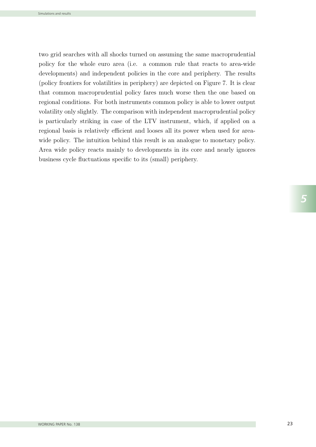two grid searches with all shocks turned on assuming the same macroprudential policy for the whole euro area (i.e. a common rule that reacts to area-wide developments) and independent policies in the core and periphery. The results (policy frontiers for volatilities in periphery) are depicted on Figure 7. It is clear that common macroprudential policy fares much worse then the one based on regional conditions. For both instruments common policy is able to lower output volatility only slightly. The comparison with independent macroprudential policy is particularly striking in case of the LTV instrument, which, if applied on a regional basis is relatively efficient and looses all its power when used for areawide policy. The intuition behind this result is an analogue to monetary policy. Area wide policy reacts mainly to developments in its core and nearly ignores business cycle fluctuations specific to its (small) periphery.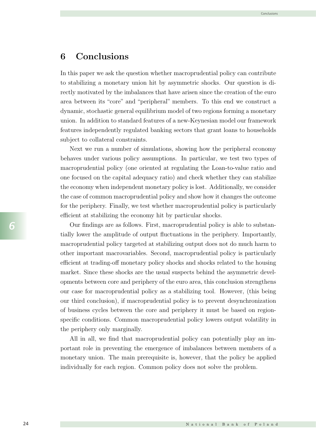### 6 Conclusions

In this paper we ask the question whether macroprudential policy can contribute to stabilizing a monetary union hit by asymmetric shocks. Our question is directly motivated by the imbalances that have arisen since the creation of the euro area between its "core" and "peripheral" members. To this end we construct a dynamic, stochastic general equilibrium model of two regions forming a monetary union. In addition to standard features of a new-Keynesian model our framework features independently regulated banking sectors that grant loans to households subject to collateral constraints.

Next we run a number of simulations, showing how the peripheral economy behaves under various policy assumptions. In particular, we test two types of macroprudential policy (one oriented at regulating the Loan-to-value ratio and one focused on the capital adequacy ratio) and check whether they can stabilize the economy when independent monetary policy is lost. Additionally, we consider the case of common macroprudential policy and show how it changes the outcome for the periphery. Finally, we test whether macroprudential policy is particularly efficient at stabilizing the economy hit by particular shocks.

Our findings are as follows. First, macroprudential policy is able to substantially lower the amplitude of output fluctuations in the periphery. Importantly, macroprudential policy targeted at stabilizing output does not do much harm to other important macrovariables. Second, macroprudential policy is particularly efficient at trading-off monetary policy shocks and shocks related to the housing market. Since these shocks are the usual suspects behind the asymmetric developments between core and periphery of the euro area, this conclusion strengthens our case for macroprudential policy as a stabilizing tool. However, (this being our third conclusion), if macroprudential policy is to prevent desynchronization of business cycles between the core and periphery it must be based on regionspecific conditions. Common macroprudential policy lowers output volatility in the periphery only marginally.

All in all, we find that macroprudential policy can potentially play an important role in preventing the emergence of imbalances between members of a monetary union. The main prerequisite is, however, that the policy be applied individually for each region. Common policy does not solve the problem.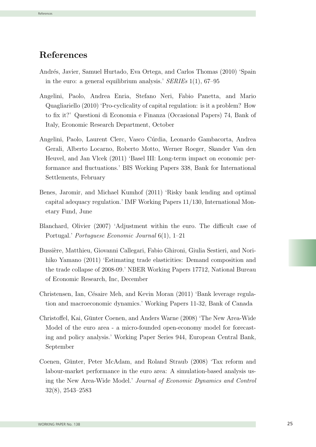## References

- Andr´es, Javier, Samuel Hurtado, Eva Ortega, and Carlos Thomas (2010) 'Spain in the euro: a general equilibrium analysis.' SERIEs 1(1), 67–95
- Angelini, Paolo, Andrea Enria, Stefano Neri, Fabio Panetta, and Mario Quagliariello (2010) 'Pro-cyclicality of capital regulation: is it a problem? How to fix it?' Questioni di Economia e Finanza (Occasional Papers) 74, Bank of Italy, Economic Research Department, October
- Angelini, Paolo, Laurent Clerc, Vasco Cúrdia, Leonardo Gambacorta, Andrea Gerali, Alberto Locarno, Roberto Motto, Werner Roeger, Skander Van den Heuvel, and Jan Vlcek (2011) 'Basel III: Long-term impact on economic performance and fluctuations.' BIS Working Papers 338, Bank for International Settlements, February
- Benes, Jaromir, and Michael Kumhof (2011) 'Risky bank lending and optimal capital adequacy regulation.' IMF Working Papers 11/130, International Monetary Fund, June
- Blanchard, Olivier (2007) 'Adjustment within the euro. The difficult case of Portugal.' Portuguese Economic Journal 6(1), 1–21
- Bussière, Matthieu, Giovanni Callegari, Fabio Ghironi, Giulia Sestieri, and Norihiko Yamano (2011) 'Estimating trade elasticities: Demand composition and the trade collapse of 2008-09.' NBER Working Papers 17712, National Bureau of Economic Research, Inc, December
- Christensen, Ian, Césaire Meh, and Kevin Moran (2011) 'Bank leverage regulation and macroeconomic dynamics.' Working Papers 11-32, Bank of Canada
- Christoffel, Kai, Gunter Coenen, and Anders Warne (2008) 'The New Area-Wide ¨ Model of the euro area - a micro-founded open-economy model for forecasting and policy analysis.' Working Paper Series 944, European Central Bank, September
- Coenen, Günter, Peter McAdam, and Roland Straub (2008) 'Tax reform and labour-market performance in the euro area: A simulation-based analysis using the New Area-Wide Model.' Journal of Economic Dynamics and Control 32(8), 2543–2583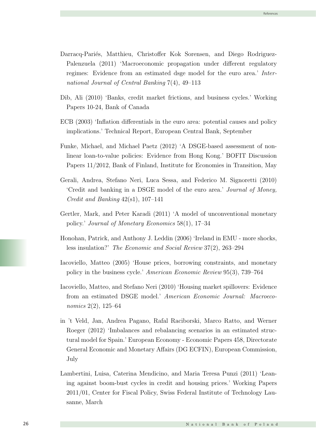- Darracq-Pariés, Matthieu, Christoffer Kok Sorensen, and Diego Rodriguez-Palenzuela (2011) 'Macroeconomic propagation under different regulatory regimes: Evidence from an estimated dsge model for the euro area.' International Journal of Central Banking 7(4), 49–113
- Dib, Ali (2010) 'Banks, credit market frictions, and business cycles.' Working Papers 10-24, Bank of Canada
- ECB (2003) 'Inflation differentials in the euro area: potential causes and policy implications.' Technical Report, European Central Bank, September
- Funke, Michael, and Michael Paetz (2012) 'A DSGE-based assessment of nonlinear loan-to-value policies: Evidence from Hong Kong.' BOFIT Discussion Papers 11/2012, Bank of Finland, Institute for Economies in Transition, May
- Gerali, Andrea, Stefano Neri, Luca Sessa, and Federico M. Signoretti (2010) 'Credit and banking in a DSGE model of the euro area.' Journal of Money, Credit and Banking 42(s1), 107–141
- Gertler, Mark, and Peter Karadi (2011) 'A model of unconventional monetary policy.' Journal of Monetary Economics 58(1), 17–34
- Honohan, Patrick, and Anthony J. Leddin (2006) 'Ireland in EMU more shocks, less insulation?' The Economic and Social Review 37(2), 263–294
- Iacoviello, Matteo (2005) 'House prices, borrowing constraints, and monetary policy in the business cycle.' American Economic Review 95(3), 739–764
- Iacoviello, Matteo, and Stefano Neri (2010) 'Housing market spillovers: Evidence from an estimated DSGE model.' American Economic Journal: Macroeconomics 2(2), 125–64
- in 't Veld, Jan, Andrea Pagano, Rafal Raciborski, Marco Ratto, and Werner Roeger (2012) 'Imbalances and rebalancing scenarios in an estimated structural model for Spain.' European Economy - Economic Papers 458, Directorate General Economic and Monetary Affairs (DG ECFIN), European Commission, July
- Lambertini, Luisa, Caterina Mendicino, and Maria Teresa Punzi (2011) 'Leaning against boom-bust cycles in credit and housing prices.' Working Papers 2011/01, Center for Fiscal Policy, Swiss Federal Institute of Technology Lausanne, March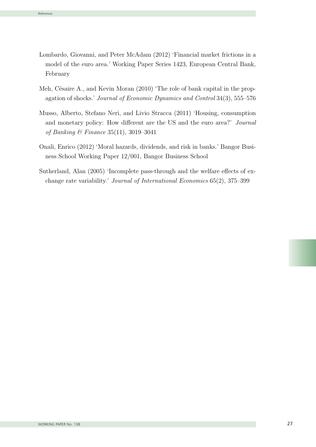- Lombardo, Giovanni, and Peter McAdam (2012) 'Financial market frictions in a model of the euro area.' Working Paper Series 1423, European Central Bank, February
- Meh, Césaire A., and Kevin Moran (2010) 'The role of bank capital in the propagation of shocks.' Journal of Economic Dynamics and Control 34(3), 555–576
- Musso, Alberto, Stefano Neri, and Livio Stracca (2011) 'Housing, consumption and monetary policy: How different are the US and the euro area?' Journal of Banking & Finance 35(11), 3019–3041
- Onali, Enrico (2012) 'Moral hazards, dividends, and risk in banks.' Bangor Business School Working Paper 12/001, Bangor Business School
- Sutherland, Alan (2005) 'Incomplete pass-through and the welfare effects of exchange rate variability.' Journal of International Economics 65(2), 375–399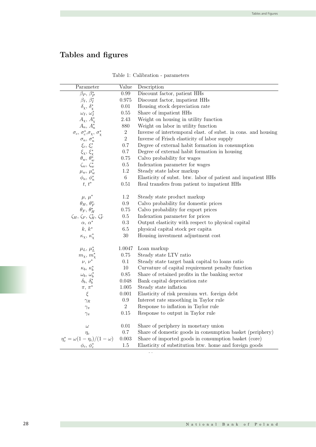# Tables and figures

| Parameter                                                                                              | Value          | Description                                                    |
|--------------------------------------------------------------------------------------------------------|----------------|----------------------------------------------------------------|
| $\beta_P, \beta_P^*$                                                                                   | $0.99\,$       | Discount factor, patient HHs                                   |
| $\beta_I, \beta_I^*$                                                                                   | 0.975          | Discount factor, impatient HHs                                 |
| $\delta_\chi,\,\delta^*_\chi$                                                                          | $0.01\,$       | Housing stock depreciation rate                                |
| $\omega_I, \omega_I^*$                                                                                 | $0.55\,$       | Share of impatient HHs                                         |
|                                                                                                        | 2.43           | Weight on housing in utility function                          |
| $A_\chi,\,A_\chi^*\\ A_n,\,A_n^*$                                                                      | 880            | Weight on labor in utility function                            |
| $\sigma_c, \sigma_c^*, \sigma_\chi, \sigma_\chi^*$                                                     | $\sqrt{2}$     | Inverse of intertemporal elast. of subst. in cons. and housing |
| $\sigma_n,\,\sigma_n^*$                                                                                | $\overline{2}$ | Inverse of Frisch elasticity of labor supply                   |
|                                                                                                        | 0.7            | Degree of external habit formation in consumption              |
|                                                                                                        | $0.7\,$        | Degree of external habit formation in housing                  |
| $\begin{array}{l} \xi_c, \, \xi_c^* \\ \xi_\chi, \, \xi_\chi^* \\ \theta_w, \, \theta_w^* \end{array}$ | 0.75           | Calvo probability for wages                                    |
| $\zeta_w, \zeta_w^*$                                                                                   | 0.5            | Indexation parameter for wages                                 |
| $\mu_w, \mu_w^*$                                                                                       | $1.2\,$        | Steady state labor markup                                      |
| $\phi_n, \phi_n^*$                                                                                     | $\,6$          | Elasticity of subst. btw. labor of patient and impatient HHs   |
| $t, t^*$                                                                                               | 0.51           | Real transfers from patient to impatient HHs                   |
|                                                                                                        |                |                                                                |
| $\mu, \mu^*$                                                                                           | 1.2            | Steady state product markup                                    |
| $\theta_H, \theta_F^*$                                                                                 | $0.9\,$        | Calvo probability for domestic prices                          |
| $\theta_F$ , $\theta_H^*$                                                                              | 0.75           | Calvo probability for export prices                            |
| $\zeta_H, \, \zeta_F, \, \zeta_H^*, \, \zeta_F^*$                                                      | $0.5\,$        | Indexation parameter for prices                                |
| $\alpha, \alpha^*$                                                                                     | $0.3\,$        | Output elasticity with respect to physical capital             |
| $k, k^*$                                                                                               | 6.5            | physical capital stock per capita                              |
| $\kappa_\chi, \, \kappa_\chi^*$                                                                        | $30\,$         | Housing investment adjustment cost                             |
|                                                                                                        |                |                                                                |
| $\mu_L, \mu_L^*$                                                                                       | 1.0047         | Loan markup                                                    |
| $m_\chi,\,m_\chi^*$                                                                                    | 0.75           | Steady state LTV ratio                                         |
| $\nu, \nu^*$                                                                                           | 0.1            | Steady state target bank capital to loans ratio                |
| $\kappa_b, \, \kappa_b^*$                                                                              | $10\,$         | Curvature of capital requirement penalty function              |
| $\omega_b, \, \omega_b^*$                                                                              | $0.85\,$       | Share of retained profits in the banking sector                |
| $\delta_b, \, \delta_b^*$                                                                              | 0.048          | Bank capital depreciation rate                                 |
| $\pi, \pi^*$                                                                                           | 1.005          | Steady state inflation                                         |
| $\xi$                                                                                                  | 0.001          | Elasticity of risk premium wrt. foreign debt                   |
| $\gamma_R$                                                                                             | $0.9\,$        | Interest rate smoothing in Taylor rule                         |
| $\gamma_\pi$                                                                                           | $\overline{2}$ | Response to inflation in Taylor rule                           |
| $\gamma_\pi$                                                                                           | $0.15\,$       | Response to output in Taylor rule                              |
| $\omega$                                                                                               | $0.01\,$       | Share of periphery in monetary union                           |
| $\eta_c$                                                                                               | $0.7\,$        | Share of domestic goods in consumption basket (periphery)      |
| $\eta_c^* = \omega(1-\eta_c)/(1-\omega)$                                                               | 0.003          | Share of imported goods in consumption basket (core)           |
| $\phi_c, \phi_c^*$                                                                                     | $1.5\,$        | Elasticity of substitution btw. home and foreign goods         |

Table 1: Calibration - parameters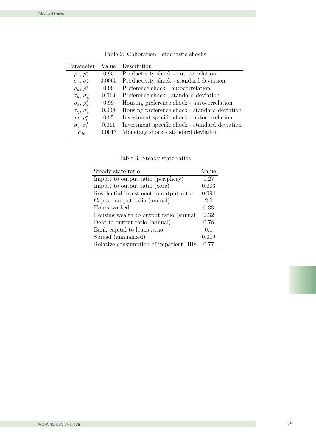| Parameter                     | Value  | Description                                    |
|-------------------------------|--------|------------------------------------------------|
| $\rho_z, \rho_z^*$            | 0.95   | Productivity shock - autocorrelation           |
| $\sigma_z, \sigma_z^*$        | 0.0065 | Productivity shock - standard deviation        |
| $\rho_u, \rho_u^*$            | 0.99   | Preference shock - autocorrelation             |
| $\sigma_u, \sigma_u^*$        | 0.013  | Preference shock - standard deviation          |
| $\rho_\chi, \, \rho_\chi^*$   | 0.99   | Housing preference shock - autocorrelation     |
| $\sigma_\chi,\,\sigma_\chi^*$ | 0.008  | Housing preference shock - standard deviation  |
| $\rho_i$ , $\rho_i^*$         | 0.95   | Investment specific shock - autocorrelation    |
| $\sigma_i$ , $\sigma_i^*$     | 0.011  | Investment specific shock - standard deviation |
| $\sigma_R$                    | 0.0013 | Monetary shock - standard deviation            |

Table 3: Steady state ratios

| Steady state ratio                      | Value |
|-----------------------------------------|-------|
| Import to output ratio (periphery)      | 0.27  |
| Import to output ratio (core)           | 0.003 |
| Residential investment to output ratio  | 0.094 |
| Capital-output ratio (annual)           | 2.0   |
| Hours worked                            | 0.33  |
| Housing wealth to output ratio (annual) | 2.32  |
| Debt to output ratio (annual)           | 0.76  |
| Bank capital to loans ratio             | 0.1   |
| Spread (annualized)                     | 0.019 |
| Relative consumption of impatient HHs   | 0.77  |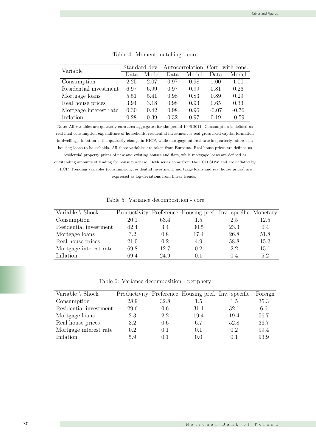| Variable               |      |       | Standard dev. Autocorrelation Corr. with cons. |       |         |         |
|------------------------|------|-------|------------------------------------------------|-------|---------|---------|
|                        | Data | Model | Data                                           | Model | Data    | Model   |
| Consumption            | 2.25 | 2.07  | 0.97                                           | 0.98  | 1.00    | 1.00    |
| Residential investment | 6.97 | 6.99  | 0.97                                           | 0.99  | 0.81    | 0.26    |
| Mortgage loans         | 5.51 | 5.41  | 0.98                                           | 0.83  | 0.89    | 0.29    |
| Real house prices      | 3.94 | 3.18  | 0.98                                           | 0.93  | 0.65    | 0.33    |
| Mortgage interest rate | 0.30 | 0.42  | 0.98                                           | 0.96  | $-0.07$ | $-0.76$ |
| Inflation              | 0.28 | 0.39  | 0.32                                           | 0.97  | 0.19    | $-0.59$ |

Table 4: Moment matching - core

Note: All variables are quarterly euro area aggregates for the period 1996-2011. Consumption is defined as real final consumption expenditure of households, residential investment is real gross fixed capital formation in dwellings, inflation is the quarterly change in HICP, while mortgage interest rate is quarterly interest on housing loans to households. All these variables are taken from Eurostat. Real house prices are defined as

residential property prices of new and existing houses and flats, while mortgage loans are defined as outstanding amounts of lending for house purchase. Both series come from the ECB SDW and are deflated by HICP. Trending variables (consumption, residential investment, mortgage loans and real house prices) are expressed as log-deviations from linear trends.

| Variable $\setminus$ Shock |      |      | Productivity Preference Housing pref. Inv. specific Monetary |      |      |
|----------------------------|------|------|--------------------------------------------------------------|------|------|
| Consumption                | 20.1 | 63.4 | 1.5                                                          | 2.5  | 12.5 |
| Residential investment     | 42.4 | 3.4  | 30.5                                                         | 23.3 | 0.4  |
| Mortgage loans             | 3.2  | 0.8  | 17.4                                                         | 26.8 | 51.8 |
| Real house prices          | 21.0 | 0.2  | 4.9                                                          | 58.8 | 15.2 |
| Mortgage interest rate     | 69.8 | 12.7 | 0.2                                                          | 2.2  | 15.1 |
| Inflation                  | 69.4 | 24.9 | 0.1                                                          | 0.4  | 5.2  |

Table 6: Variance decomposition - periphery

| Variable $\setminus$ Shock |      |      | Productivity Preference Housing pref. Inv. specific |      | Foreign |
|----------------------------|------|------|-----------------------------------------------------|------|---------|
| Consumption                | 28.9 | 32.8 | 1.5                                                 | 1.5  | 35.3    |
| Residential investment     | 29.6 | 0.6  | 31.1                                                | 32.1 | 6.6     |
| Mortgage loans             | 2.3  | 2.2  | 19.4                                                | 19.4 | 56.7    |
| Real house prices          | 3.2  | 0.6  | 6.7                                                 | 52.8 | 36.7    |
| Mortgage interest rate     | 0.2  | 0.1  | 0.1                                                 | 0.2  | 99.4    |
| Inflation                  | 5.9  | 0.1  | 0.0                                                 | 0.1  | 93.9    |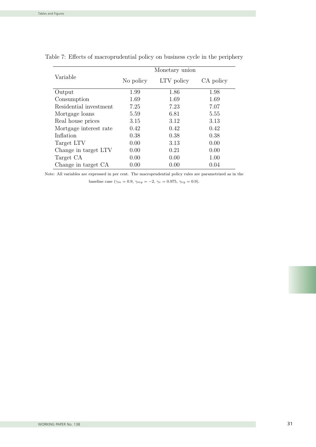|                        | Monetary union |            |           |  |  |
|------------------------|----------------|------------|-----------|--|--|
| Variable               | No policy      | LTV policy | CA policy |  |  |
| Output                 | 1.99           | 1.86       | 1.98      |  |  |
| Consumption            | 1.69           | 1.69       | 1.69      |  |  |
| Residential investment | 7.25           | 7.23       | 7.07      |  |  |
| Mortgage loans         | 5.59           | 6.81       | 5.55      |  |  |
| Real house prices      | 3.15           | 3.12       | 3.13      |  |  |
| Mortgage interest rate | 0.42           | 0.42       | 0.42      |  |  |
| Inflation              | 0.38           | 0.38       | 0.38      |  |  |
| Target LTV             | 0.00           | 3.13       | 0.00      |  |  |
| Change in target LTV   | 0.00           | 0.21       | 0.00      |  |  |
| Target CA              | 0.00           | 0.00       | 1.00      |  |  |
| Change in target CA    | 0.00           | 0.00       | 0.04      |  |  |

Table 7: Effects of macroprudential policy on business cycle in the periphery

Note: All variables are expressed in per cent. The macroprudential policy rules are parametrized as in the baseline case ( $\gamma_m = 0.9$ ,  $\gamma_{my} = -2$ ,  $\gamma_v = 0.975$ ,  $\gamma_{vy} = 0.9$ ).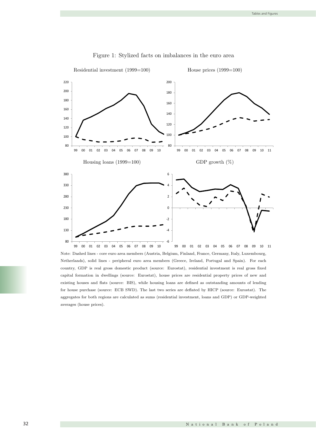

Figure 1: Stylized facts on imbalances in the euro area

Residential investment (1999=100) House prices (1999=100)

Note: Dashed lines - core euro area members (Austria, Belgium, Finland, France, Germany, Italy, Luxembourg, Netherlands), solid lines - peripheral euro area members (Greece, Ireland, Portugal and Spain). For each country, GDP is real gross domestic product (source: Eurostat), residential investment is real gross fixed capital formation in dwellings (source: Eurostat), house prices are residential property prices of new and existing houses and flats (source: BIS), while housing loans are defined as outstanding amounts of lending for house purchase (source: ECB SWD). The last two series are deflated by HICP (source: Eurostat). The aggregates for both regions are calculated as sums (residential investment, loans and GDP) or GDP-weighted averages (house prices).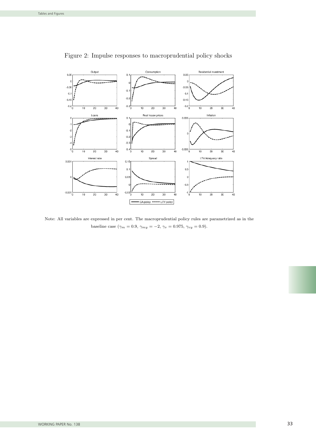

Figure 2: Impulse responses to macroprudential policy shocks

Note: All variables are expressed in per cent. The macroprudential policy rules are parametrized as in the baseline case ( $\gamma_m = 0.9$ ,  $\gamma_{my} = -2$ ,  $\gamma_v = 0.975$ ,  $\gamma_{vy} = 0.9$ ).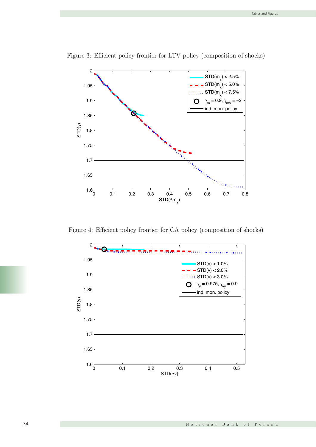

Figure 3: Efficient policy frontier for LTV policy (composition of shocks)

Figure 4: Efficient policy frontier for CA policy (composition of shocks)

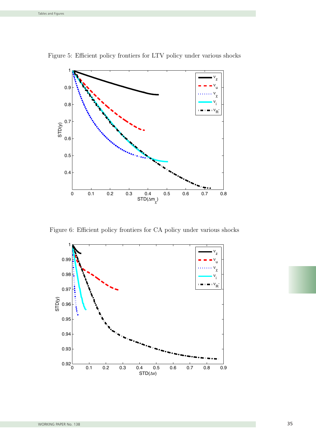

Figure 5: Efficient policy frontiers for LTV policy under various shocks

Figure 6: Efficient policy frontiers for CA policy under various shocks